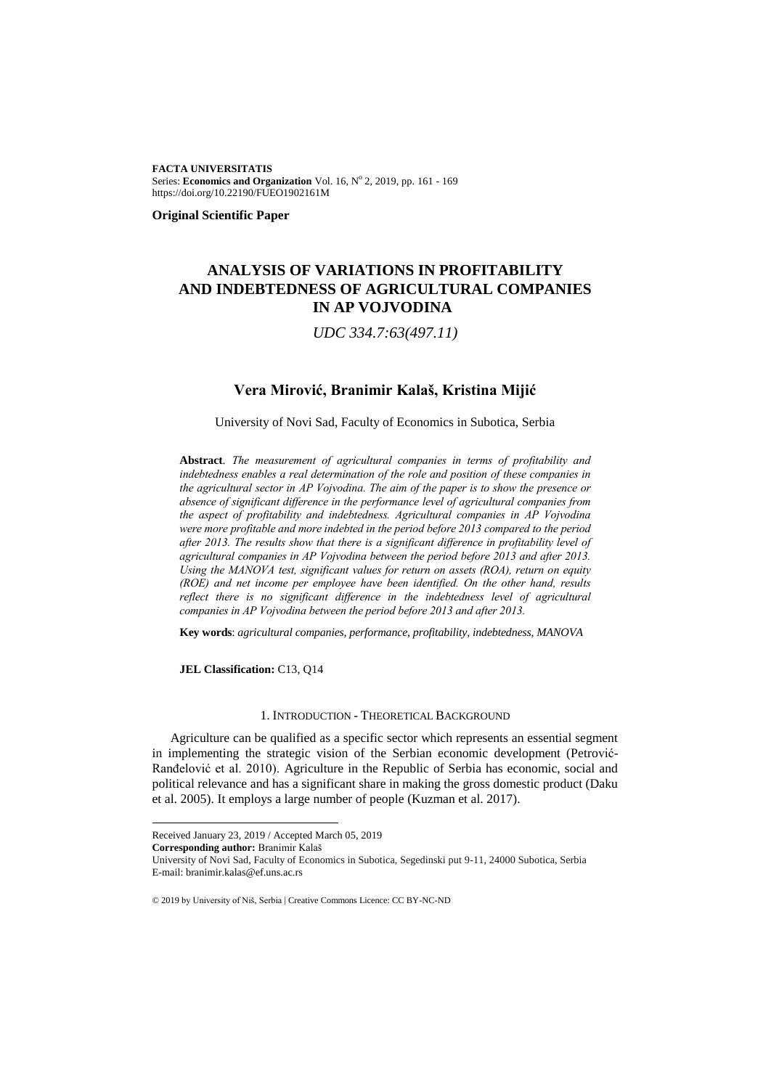**FACTA UNIVERSITATIS** Series: Economics and Organization Vol. 16, Nº 2, 2019, pp. 161 - 169 https://doi.org/10.22190/FUEO1902161M

**Original Scientific Paper**

# **ANALYSIS OF VARIATIONS IN PROFITABILITY AND INDEBTEDNESS OF AGRICULTURAL COMPANIES IN AP VOJVODINA<sup>1</sup>**

*UDC 334.7:63(497.11)*

## **Vera Mirović, Branimir Kalaš, Kristina Mijić**

University of Novi Sad, Faculty of Economics in Subotica, Serbia

**Abstract**. *The measurement of agricultural companies in terms of profitability and indebtedness enables a real determination of the role and position of these companies in the agricultural sector in AP Vojvodina. The aim of the paper is to show the presence or absence of significant difference in the performance level of agricultural companies from the aspect of profitability and indebtedness. Agricultural companies in AP Vojvodina were more profitable and more indebted in the period before 2013 compared to the period after 2013. The results show that there is a significant difference in profitability level of agricultural companies in AP Vojvodina between the period before 2013 and after 2013. Using the MANOVA test, significant values for return on assets (ROA), return on equity (ROE) and net income per employee have been identified. On the other hand, results reflect there is no significant difference in the indebtedness level of agricultural companies in AP Vojvodina between the period before 2013 and after 2013.*

**Key words**: *agricultural companies, performance, profitability, indebtedness, MANOVA*

**JEL Classification:** C13, Q14

### 1. INTRODUCTION - THEORETICAL BACKGROUND

Agriculture can be qualified as a specific sector which represents an essential segment in implementing the strategic vision of the Serbian economic development (Petrović-Ranđelović et al. 2010). Agriculture in the Republic of Serbia has economic, social and political relevance and has a significant share in making the gross domestic product (Daku et al. 2005). It employs a large number of people (Kuzman et al. 2017).

l

University of Novi Sad, Faculty of Economics in Subotica, Segedinski put 9-11, 24000 Subotica, Serbia E-mail: branimir.kalas@ef.uns.ac.rs

Received January 23, 2019 / Accepted March 05, 2019

**Corresponding author:** Branimir Kalaš

<sup>© 2019</sup> by University of Niš, Serbia | Creative Commons Licence: CC BY-NC-ND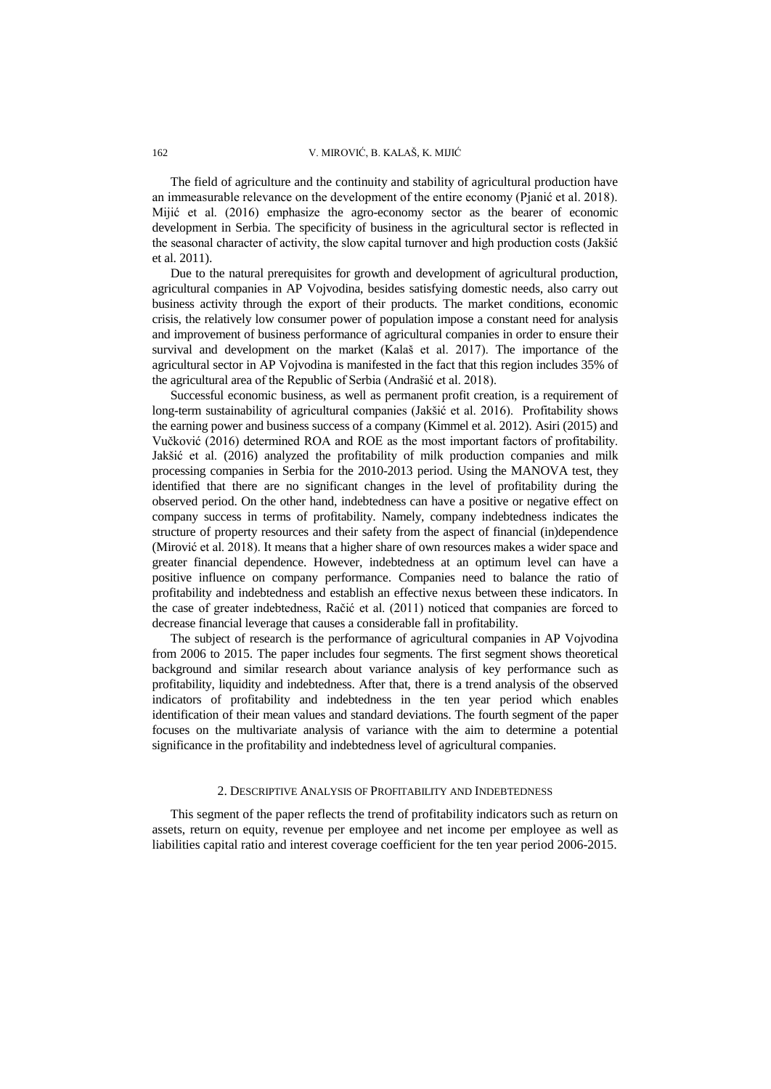#### 162 V. MIROVIĆ, B. KALAŠ, K. MIJIĆ

The field of agriculture and the continuity and stability of agricultural production have an immeasurable relevance on the development of the entire economy (Pjanić et al. 2018). Mijić et al. (2016) emphasize the agro-economy sector as the bearer of economic development in Serbia. The specificity of business in the agricultural sector is reflected in the seasonal character of activity, the slow capital turnover and high production costs (Jakšić et al. 2011).

Due to the natural prerequisites for growth and development of agricultural production, agricultural companies in AP Vojvodina, besides satisfying domestic needs, also carry out business activity through the export of their products. The market conditions, economic crisis, the relatively low consumer power of population impose a constant need for analysis and improvement of business performance of agricultural companies in order to ensure their survival and development on the market (Kalaš et al. 2017). The importance of the agricultural sector in AP Vojvodina is manifested in the fact that this region includes 35% of the agricultural area of the Republic of Serbia (Andrašić et al. 2018).

Successful economic business, as well as permanent profit creation, is a requirement of long-term sustainability of agricultural companies (Jakšić et al. 2016). Profitability shows the earning power and business success of a company (Kimmel et al. 2012). Asiri (2015) and Vučković (2016) determined ROA and ROE as the most important factors of profitability. Jakšić et al. (2016) analyzed the profitability of milk production companies and milk processing companies in Serbia for the 2010-2013 period. Using the MANOVA test, they identified that there are no significant changes in the level of profitability during the observed period. On the other hand, indebtedness can have a positive or negative effect on company success in terms of profitability. Namely, company indebtedness indicates the structure of property resources and their safety from the aspect of financial (in)dependence (Mirović et al. 2018). It means that a higher share of own resources makes a wider space and greater financial dependence. However, indebtedness at an optimum level can have a positive influence on company performance. Companies need to balance the ratio of profitability and indebtedness and establish an effective nexus between these indicators. In the case of greater indebtedness, Račić et al. (2011) noticed that companies are forced to decrease financial leverage that causes a considerable fall in profitability.

The subject of research is the performance of agricultural companies in AP Vojvodina from 2006 to 2015. The paper includes four segments. The first segment shows theoretical background and similar research about variance analysis of key performance such as profitability, liquidity and indebtedness. After that, there is a trend analysis of the observed indicators of profitability and indebtedness in the ten year period which enables identification of their mean values and standard deviations. The fourth segment of the paper focuses on the multivariate analysis of variance with the aim to determine a potential significance in the profitability and indebtedness level of agricultural companies.

#### 2. DESCRIPTIVE ANALYSIS OF PROFITABILITY AND INDEBTEDNESS

This segment of the paper reflects the trend of profitability indicators such as return on assets, return on equity, revenue per employee and net income per employee as well as liabilities capital ratio and interest coverage coefficient for the ten year period 2006-2015.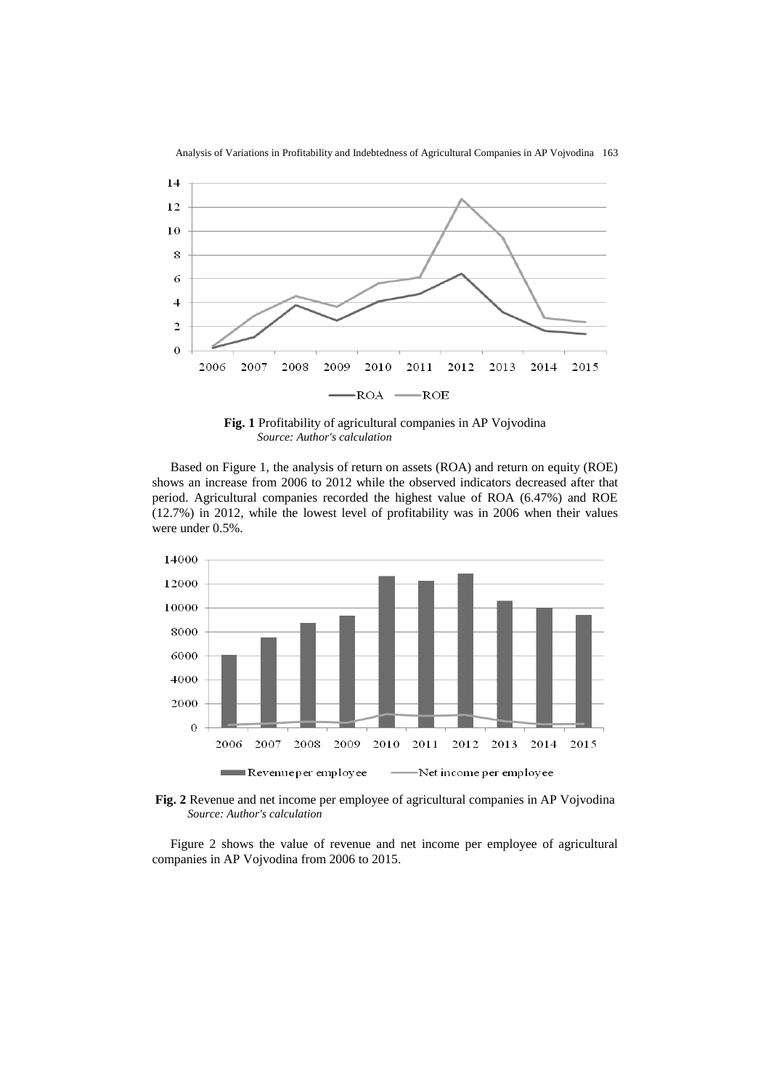

Analysis of Variations in Profitability and Indebtedness of Agricultural Companies in AP Vojvodina 163

**Fig. 1** Profitability of agricultural companies in AP Vojvodina *Source: Author's calculation*

Based on Figure 1, the analysis of return on assets (ROA) and return on equity (ROE) shows an increase from 2006 to 2012 while the observed indicators decreased after that period. Agricultural companies recorded the highest value of ROA (6.47%) and ROE (12.7%) in 2012, while the lowest level of profitability was in 2006 when their values were under 0.5%.



**Fig. 2** Revenue and net income per employee of agricultural companies in AP Vojvodina *Source: Author's calculation*

Figure 2 shows the value of revenue and net income per employee of agricultural companies in AP Vojvodina from 2006 to 2015.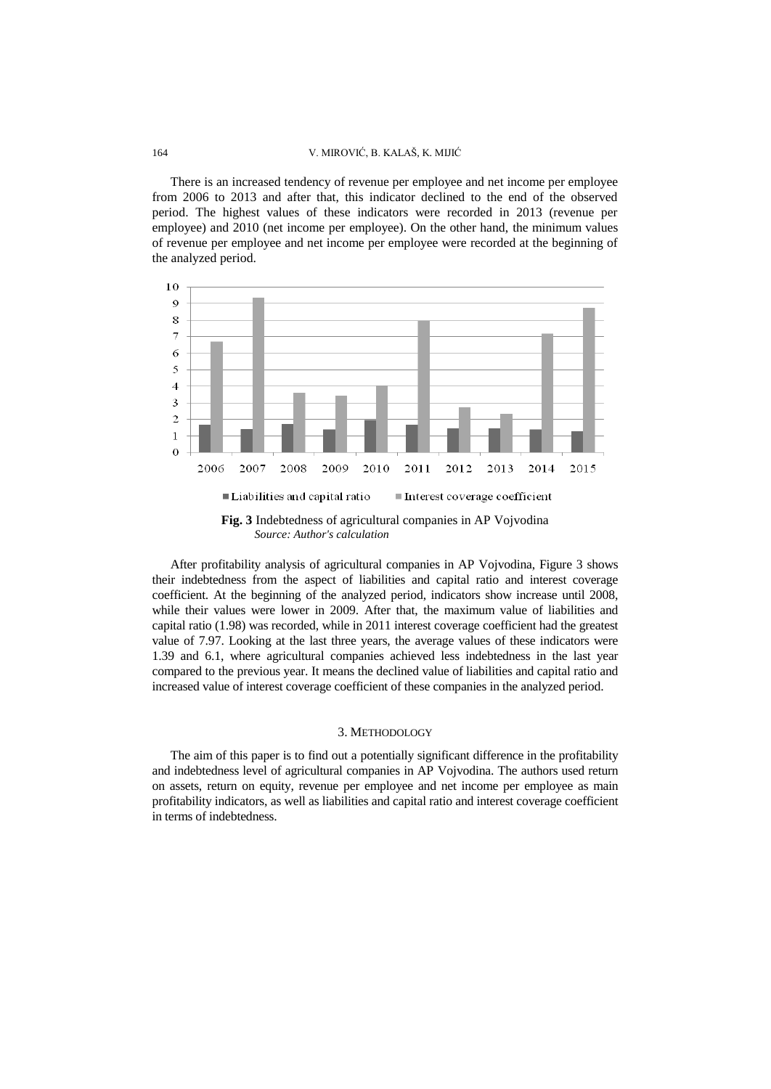#### 164 V. MIROVIĆ, B. KALAŠ, K. MIJIĆ

There is an increased tendency of revenue per employee and net income per employee from 2006 to 2013 and after that, this indicator declined to the end of the observed period. The highest values of these indicators were recorded in 2013 (revenue per employee) and 2010 (net income per employee). On the other hand, the minimum values of revenue per employee and net income per employee were recorded at the beginning of the analyzed period.



After profitability analysis of agricultural companies in AP Vojvodina, Figure 3 shows their indebtedness from the aspect of liabilities and capital ratio and interest coverage coefficient. At the beginning of the analyzed period, indicators show increase until 2008, while their values were lower in 2009. After that, the maximum value of liabilities and capital ratio (1.98) was recorded, while in 2011 interest coverage coefficient had the greatest value of 7.97. Looking at the last three years, the average values of these indicators were 1.39 and 6.1, where agricultural companies achieved less indebtedness in the last year compared to the previous year. It means the declined value of liabilities and capital ratio and increased value of interest coverage coefficient of these companies in the analyzed period.

#### 3. METHODOLOGY

The aim of this paper is to find out a potentially significant difference in the profitability and indebtedness level of agricultural companies in AP Vojvodina. The authors used return on assets, return on equity, revenue per employee and net income per employee as main profitability indicators, as well as liabilities and capital ratio and interest coverage coefficient in terms of indebtedness.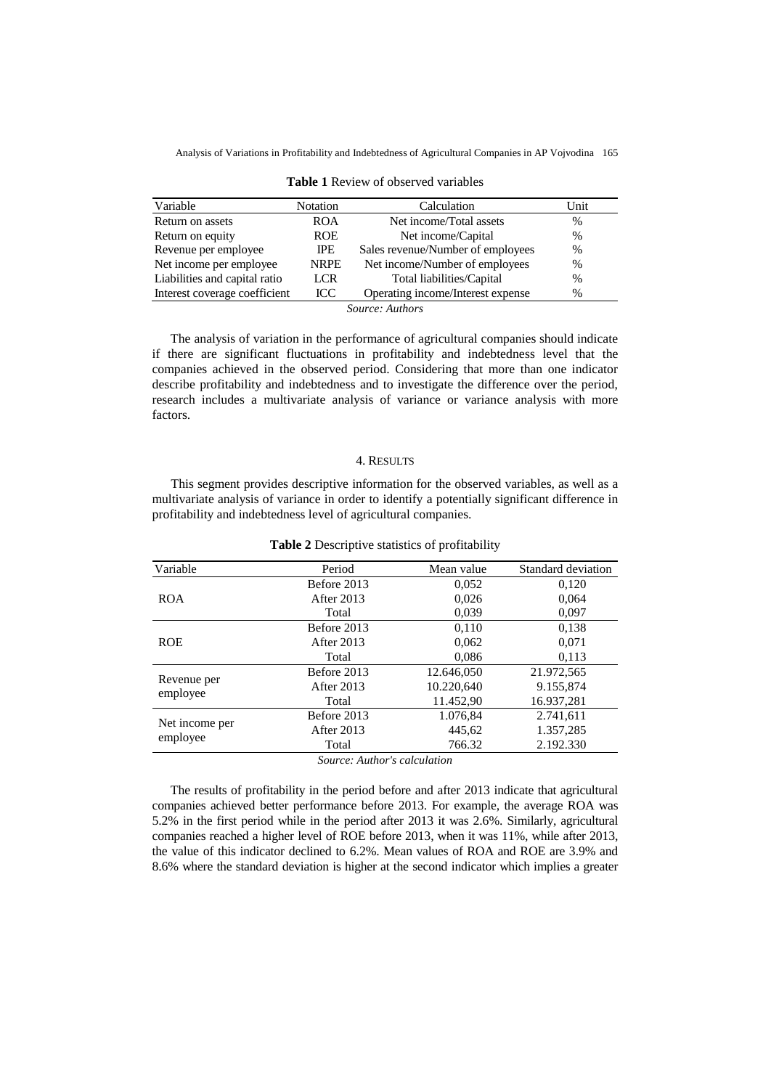Analysis of Variations in Profitability and Indebtedness of Agricultural Companies in AP Vojvodina 165

| Variable                      | Notation    | Calculation                       | Unit          |
|-------------------------------|-------------|-----------------------------------|---------------|
| Return on assets              | <b>ROA</b>  | Net income/Total assets           | $\%$          |
| Return on equity              | <b>ROE</b>  | Net income/Capital                | $\frac{0}{0}$ |
| Revenue per employee          | <b>IPE</b>  | Sales revenue/Number of employees | $\frac{0}{0}$ |
| Net income per employee       | <b>NRPE</b> | Net income/Number of employees    | $\%$          |
| Liabilities and capital ratio | LCR         | Total liabilities/Capital         | $\%$          |
| Interest coverage coefficient | <b>ICC</b>  | Operating income/Interest expense | $\%$          |
|                               |             | <i>Source: Authors</i>            |               |

|  | <b>Table 1</b> Review of observed variables |  |
|--|---------------------------------------------|--|
|  |                                             |  |

The analysis of variation in the performance of agricultural companies should indicate if there are significant fluctuations in profitability and indebtedness level that the companies achieved in the observed period. Considering that more than one indicator describe profitability and indebtedness and to investigate the difference over the period, research includes a multivariate analysis of variance or variance analysis with more factors.

### 4. RESULTS

This segment provides descriptive information for the observed variables, as well as a multivariate analysis of variance in order to identify a potentially significant difference in profitability and indebtedness level of agricultural companies.

| Variable       | Period      | Mean value | Standard deviation |
|----------------|-------------|------------|--------------------|
|                | Before 2013 | 0,052      | 0.120              |
| <b>ROA</b>     | After 2013  | 0,026      | 0,064              |
|                | Total       | 0,039      | 0,097              |
|                | Before 2013 | 0.110      | 0.138              |
| <b>ROE</b>     | After 2013  | 0,062      | 0,071              |
|                | Total       | 0,086      | 0,113              |
|                | Before 2013 | 12.646,050 | 21.972,565         |
| Revenue per    | After 2013  | 10.220.640 | 9.155,874          |
| employee       | Total       | 11.452,90  | 16.937,281         |
|                | Before 2013 | 1.076,84   | 2.741,611          |
| Net income per | After 2013  | 445.62     | 1.357,285          |
| employee       | Total       | 766.32     | 2.192.330          |

**Table 2** Descriptive statistics of profitability

*Source: Author's calculation*

The results of profitability in the period before and after 2013 indicate that agricultural companies achieved better performance before 2013. For example, the average ROA was 5.2% in the first period while in the period after 2013 it was 2.6%. Similarly, agricultural companies reached a higher level of ROE before 2013, when it was 11%, while after 2013, the value of this indicator declined to 6.2%. Mean values of ROA and ROE are 3.9% and 8.6% where the standard deviation is higher at the second indicator which implies a greater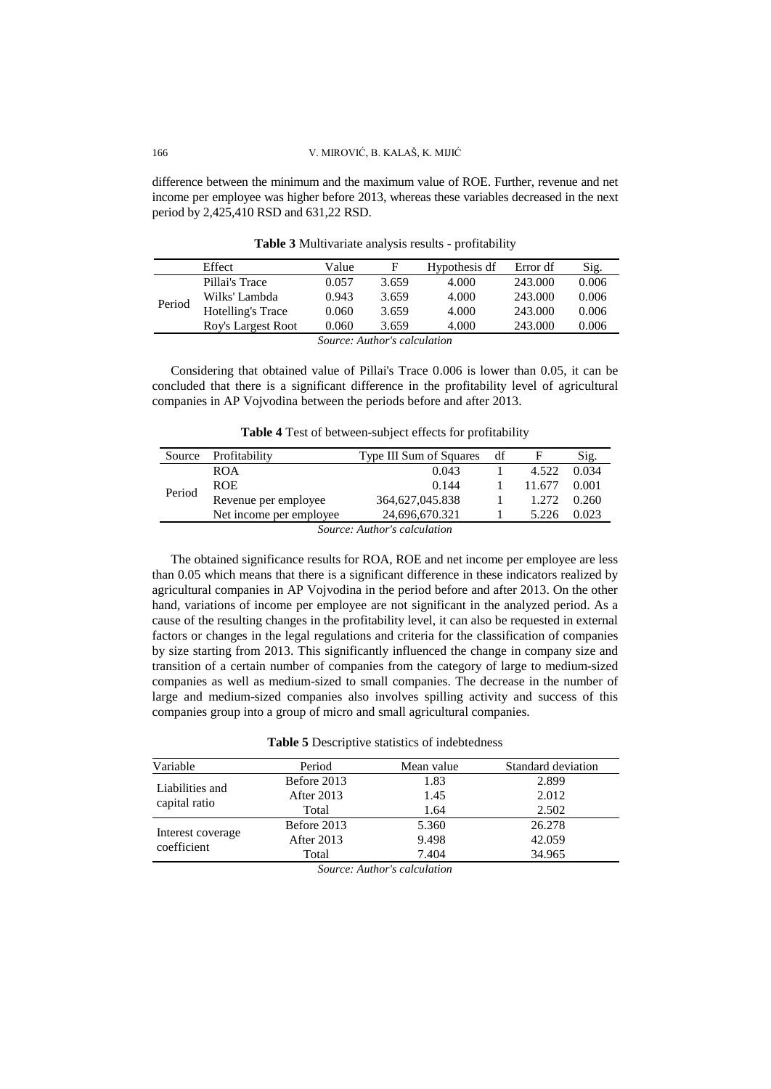difference between the minimum and the maximum value of ROE. Further, revenue and net income per employee was higher before 2013, whereas these variables decreased in the next period by 2,425,410 RSD and 631,22 RSD.

|        | Effect             | Value |       | Hypothesis df | Error df | Sig.  |
|--------|--------------------|-------|-------|---------------|----------|-------|
| Period | Pillai's Trace     | 0.057 | 3.659 | 4.000         | 243.000  | 0.006 |
|        | Wilks' Lambda      | 0.943 | 3.659 | 4.000         | 243.000  | 0.006 |
|        | Hotelling's Trace  | 0.060 | 3.659 | 4.000         | 243.000  | 0.006 |
|        | Roy's Largest Root | 0.060 | 3.659 | 4.000         | 243.000  | 0.006 |

**Table 3** Multivariate analysis results - profitability

*Source: Author's calculation*

Considering that obtained value of Pillai's Trace 0.006 is lower than 0.05, it can be concluded that there is a significant difference in the profitability level of agricultural companies in AP Vojvodina between the periods before and after 2013.

| Table 4 Test of between-subject effects for profitability |  |  |  |
|-----------------------------------------------------------|--|--|--|
|                                                           |  |  |  |

| Source | Profitability            | Type III Sum of Squares     | df |        | Sig.  |
|--------|--------------------------|-----------------------------|----|--------|-------|
| Period | <b>ROA</b>               | 0.043                       |    | 4.522  | 0.034 |
|        | <b>ROE</b>               | 0.144                       |    | 11.677 | 0.001 |
|        | Revenue per employee     | 364.627.045.838             |    | 1.272  | 0.260 |
|        | Net income per employee. | 24,696,670.321              |    | 5.226  | 0.023 |
|        |                          | Course Author's calculation |    |        |       |

*Source: Author's calculation*

The obtained significance results for ROA, ROE and net income per employee are less than 0.05 which means that there is a significant difference in these indicators realized by agricultural companies in AP Vojvodina in the period before and after 2013. On the other hand, variations of income per employee are not significant in the analyzed period. As a cause of the resulting changes in the profitability level, it can also be requested in external factors or changes in the legal regulations and criteria for the classification of companies by size starting from 2013. This significantly influenced the change in company size and transition of a certain number of companies from the category of large to medium-sized companies as well as medium-sized to small companies. The decrease in the number of large and medium-sized companies also involves spilling activity and success of this companies group into a group of micro and small agricultural companies.

**Table 5** Descriptive statistics of indebtedness

| Variable          | Period      | Mean value | Standard deviation |
|-------------------|-------------|------------|--------------------|
| Liabilities and   | Before 2013 | 1.83       | 2.899              |
|                   | After 2013  | 1.45       | 2.012              |
| capital ratio     | Total       | 1.64       | 2.502              |
|                   | Before 2013 | 5.360      | 26.278             |
| Interest coverage | After 2013  | 9.498      | 42.059             |
| coefficient       | Total       | 7.404      | 34.965             |

*Source: Author's calculation*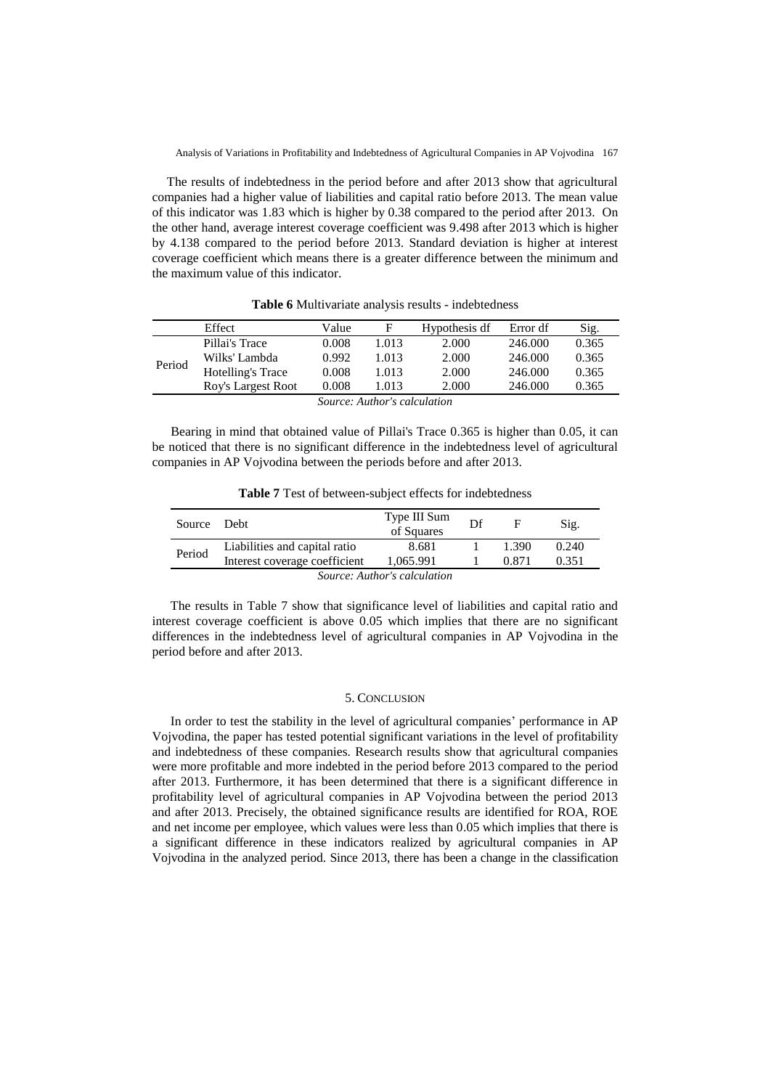The results of indebtedness in the period before and after 2013 show that agricultural companies had a higher value of liabilities and capital ratio before 2013. The mean value of this indicator was 1.83 which is higher by 0.38 compared to the period after 2013. On the other hand, average interest coverage coefficient was 9.498 after 2013 which is higher by 4.138 compared to the period before 2013. Standard deviation is higher at interest coverage coefficient which means there is a greater difference between the minimum and the maximum value of this indicator.

|                              | Effect             | Value | F     | Hypothesis df | Error df | Sig.  |
|------------------------------|--------------------|-------|-------|---------------|----------|-------|
| Period                       | Pillai's Trace     | 0.008 | 1.013 | 2.000         | 246.000  | 0.365 |
|                              | Wilks' Lambda      | 0.992 | 1.013 | 2.000         | 246.000  | 0.365 |
|                              | Hotelling's Trace  | 0.008 | 1.013 | 2.000         | 246.000  | 0.365 |
|                              | Roy's Largest Root | 0.008 | 1.013 | 2.000         | 246.000  | 0.365 |
| Source: Author's calculation |                    |       |       |               |          |       |

**Table 6** Multivariate analysis results - indebtedness

Bearing in mind that obtained value of Pillai's Trace 0.365 is higher than 0.05, it can be noticed that there is no significant difference in the indebtedness level of agricultural companies in AP Vojvodina between the periods before and after 2013.

**Table 7** Test of between-subject effects for indebtedness

| Source Debt                  |                               | Type III Sum<br>of Squares | Df |       | Sig.  |  |  |
|------------------------------|-------------------------------|----------------------------|----|-------|-------|--|--|
| Period                       | Liabilities and capital ratio | 8.681                      |    | 1.390 | 0.240 |  |  |
|                              | Interest coverage coefficient | 1,065.991                  |    | 0.871 | 0.351 |  |  |
| Source: Author's calculation |                               |                            |    |       |       |  |  |

The results in Table 7 show that significance level of liabilities and capital ratio and interest coverage coefficient is above 0.05 which implies that there are no significant differences in the indebtedness level of agricultural companies in AP Vojvodina in the period before and after 2013.

#### 5. CONCLUSION

In order to test the stability in the level of agricultural companies' performance in AP Vojvodina, the paper has tested potential significant variations in the level of profitability and indebtedness of these companies. Research results show that agricultural companies were more profitable and more indebted in the period before 2013 compared to the period after 2013. Furthermore, it has been determined that there is a significant difference in profitability level of agricultural companies in AP Vojvodina between the period 2013 and after 2013. Precisely, the obtained significance results are identified for ROA, ROE and net income per employee, which values were less than 0.05 which implies that there is a significant difference in these indicators realized by agricultural companies in AP Vojvodina in the analyzed period. Since 2013, there has been a change in the classification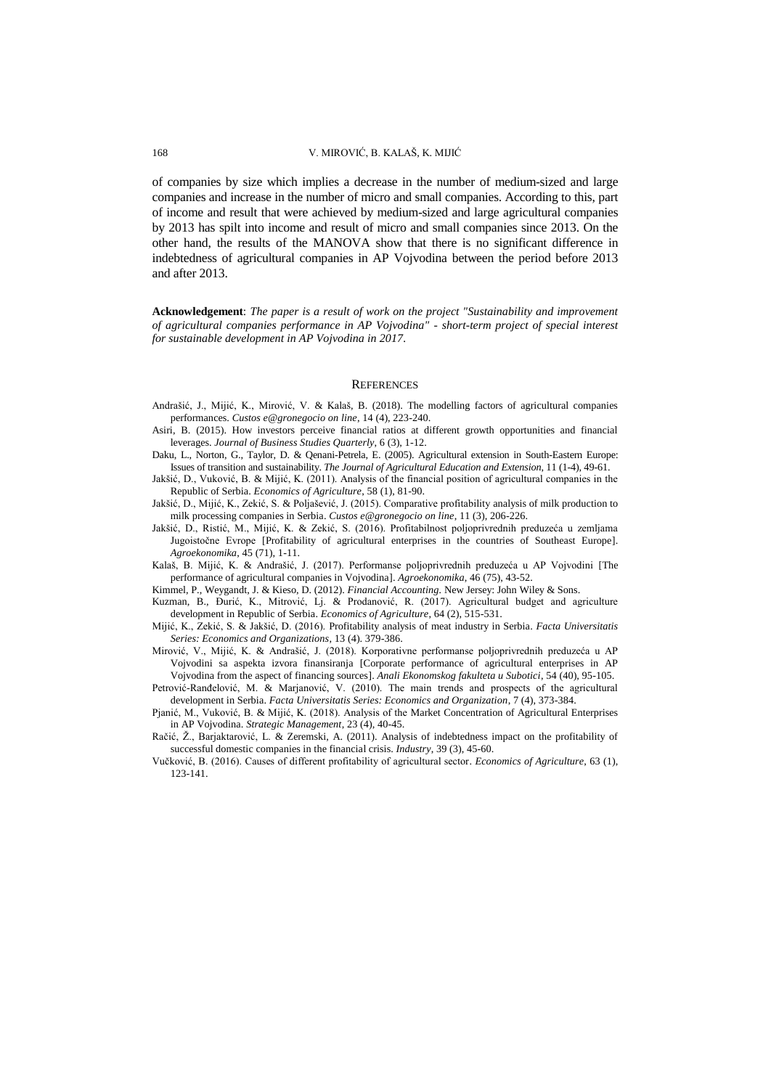of companies by size which implies a decrease in the number of medium-sized and large companies and increase in the number of micro and small companies. According to this, part of income and result that were achieved by medium-sized and large agricultural companies by 2013 has spilt into income and result of micro and small companies since 2013. On the other hand, the results of the MANOVA show that there is no significant difference in indebtedness of agricultural companies in AP Vojvodina between the period before 2013 and after 2013.

**Acknowledgement**: *The paper is a result of work on the project "Sustainability and improvement of agricultural companies performance in AP Vojvodina" - short-term project of special interest for sustainable development in AP Vojvodina in 2017.*

#### **REFERENCES**

- Andrašić, J., Mijić, K., Mirović, V. & Kalaš, B. (2018). The modelling factors of agricultural companies performances. *Custos e@gronegocio on line*, 14 (4), 223-240.
- Asiri, B. (2015). How investors perceive financial ratios at different growth opportunities and financial leverages. *Journal of Business Studies Quarterly*, 6 (3), 1-12.
- Daku, L., Norton, G., Taylor, D. & Qenani-Petrela, E. (2005). Agricultural extension in South-Eastern Europe: Issues of transition and sustainability. *The Journal of Agricultural Education and Extension*, 11 (1-4), 49-61.
- Jakšić, D., Vuković, B. & Mijić, K. (2011). Analysis of the financial position of agricultural companies in the Republic of Serbia. *Economics of Agriculture*, 58 (1), 81-90.
- Jakšić, D., Mijić, K., Zekić, S. & Poljašević, J. (2015). Comparative profitability analysis of milk production to milk processing companies in Serbia. *Custos e@gronegocio on line*, 11 (3), 206-226.
- Jakšić, D., Ristić, M., Mijić, K. & Zekić, S. (2016). Profitabilnost poljoprivrednih preduzeća u zemljama Jugoistočne Evrope [Profitability of agricultural enterprises in the countries of Southeast Europe]. *Agroekonomika*, 45 (71), 1-11.
- Kalaš, B. Mijić, K. & Andrašić, J. (2017). Performanse poljoprivrednih preduzeća u AP Vojvodini [The performance of agricultural companies in Vojvodina]. *Agroekonomika*, 46 (75), 43-52.
- Kimmel, P., Weygandt, J. & Kieso, D. (2012). *Financial Accounting.* New Jersey: John Wiley & Sons.
- Kuzman, B., Đurić, K., Mitrović, Lj. & Prodanović, R. (2017). Agricultural budget and agriculture development in Republic of Serbia. *Economics of Agriculture*, 64 (2), 515-531.
- Mijić, K., Zekić, S. & Jakšić, D. (2016). Profitability analysis of meat industry in Serbia. *Facta Universitatis Series: Economics and Organizations*, 13 (4). 379-386.
- Mirović, V., Mijić, K. & Andrašić, J. (2018). Korporativne performanse poljoprivrednih preduzeća u AP Vojvodini sa aspekta izvora finansiranja [Corporate performance of agricultural enterprises in AP Vojvodina from the aspect of financing sources]. *Anali Ekonomskog fakulteta u Subotici*, 54 (40), 95-105.
- Petrović-Ranđelović, M. & Marjanović, V. (2010). The main trends and prospects of the agricultural development in Serbia. *Facta Universitatis Series: Economics and Organization*, 7 (4), 373-384.
- Pjanić, M., Vuković, B. & Mijić, K. (2018). Analysis of the Market Concentration of Agricultural Enterprises in AP Vojvodina. *Strategic Management*, 23 (4), 40-45.
- Račić, Ž., Barjaktarović, L. & Zeremski, A. (2011). Analysis of indebtedness impact on the profitability of successful domestic companies in the financial crisis. *Industry*, 39 (3), 45-60.
- Vučković, B. (2016). Causes of different profitability of agricultural sector. *Economics of Agriculture*, 63 (1), 123-141.